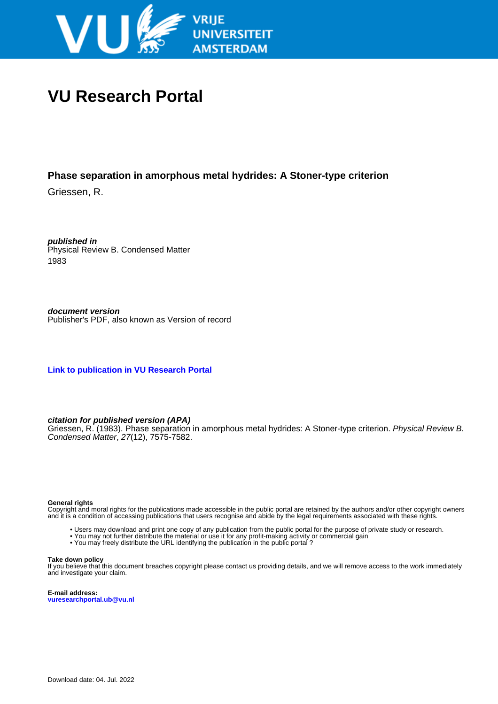

# **VU Research Portal**

## **Phase separation in amorphous metal hydrides: A Stoner-type criterion**

Griessen, R.

**published in** Physical Review B. Condensed Matter 1983

**document version** Publisher's PDF, also known as Version of record

**[Link to publication in VU Research Portal](https://research.vu.nl/en/publications/54ab66f6-ce12-4bdb-af7b-6a94976bb9e6)**

## **citation for published version (APA)**

Griessen, R. (1983). Phase separation in amorphous metal hydrides: A Stoner-type criterion. Physical Review B. Condensed Matter, 27(12), 7575-7582.

#### **General rights**

Copyright and moral rights for the publications made accessible in the public portal are retained by the authors and/or other copyright owners and it is a condition of accessing publications that users recognise and abide by the legal requirements associated with these rights.

- Users may download and print one copy of any publication from the public portal for the purpose of private study or research.
- You may not further distribute the material or use it for any profit-making activity or commercial gain
- You may freely distribute the URL identifying the publication in the public portal ?

#### **Take down policy**

If you believe that this document breaches copyright please contact us providing details, and we will remove access to the work immediately and investigate your claim.

**E-mail address: vuresearchportal.ub@vu.nl**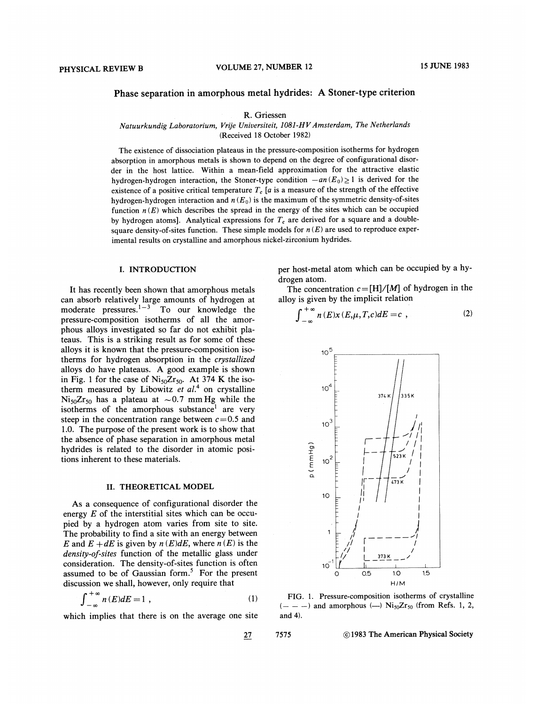## Phase separation in amorphous metal hydrides: A Stoner-type criterion

R. Griessen

Natuurkundig Laboratorium, Vrije Universiteit, 1081-HV Amsterdam, The Netherlands

(Received 18 October 1982)

The existence of dissociation plateaus in the pressure-composition isotherms for hydrogen absorption in amorphous metals is shown to depend on the degree of configurational disorder in the host lattice. Within a mean-field approximation for the attractive elastic hydrogen-hydrogen interaction, the Stoner-type condition  $-an(E_0) \ge 1$  is derived for the existence of a positive critical temperature  $T_c$  [a is a measure of the strength of the effective hydrogen-hydrogen interaction and  $n(E_0)$  is the maximum of the symmetric density-of-sites function  $n(E)$  which describes the spread in the energy of the sites which can be occupied by hydrogen atoms]. Analytical expressions for  $T_c$  are derived for a square and a doublesquare density-of-sites function. These simple models for  $n(E)$  are used to reproduce experimental results on crystalline and amorphous nickel-zirconium hydrides.

#### I. INTRODUCTION

It has recently been shown that amorphous metals can absorb relatively large amounts of hydrogen at moderate pressures.<sup>1-3</sup> To our knowledge the pressure-composition isotherms of all the amorphous alloys investigated so far do not exhibit plateaus. This is a striking result as for some of these alloys it is known that the pressure-composition isotherms for hydrogen absorption in the *crystallized* alloys do have plateaus. A good example is shown in Fig. 1 for the case of  $Ni<sub>50</sub>Zr<sub>50</sub>$ . At 374 K the isotherm measured by Libowitz et al.<sup>4</sup> on crystalline  $Ni_{50}Zr_{50}$  has a plateau at ~0.7 mm Hg while the isotherms of the amorphous substance<sup>1</sup> are very steep in the concentration range between  $c = 0.5$  and 1.0. The purpose of the present work is to show that the absence of phase separation in amorphous metal hydrides is related to the disorder in atomic positions inherent to these materials.

#### II. THEORETICAL MODEL

As a consequence of configurational disorder the energy  $E$  of the interstitial sites which can be occupied by a hydrogen atom varies from site to site. The probability to find a site with an energy between E and  $E + dE$  is given by  $n(E)dE$ , where  $n(E)$  is the density-of-sites function of the metallic glass under consideration. The density-of-sites function is often assumed to be of Gaussian form.<sup>5</sup> For the present discussion we shall, however, only require that

$$
\int_{-\infty}^{+\infty} n(E)dE = 1 , \qquad (1)
$$

which implies that there is on the average one site

per host-metal atom which can be occupied by a hydrogen atom.

The concentration  $c = [H]/[M]$  of hydrogen in the alloy is given by the implicit relation

$$
\int_{-\infty}^{+\infty} n(E)x(E,\mu,T,c)dE = c \tag{2}
$$



FIG. 1. Pressure-composition isotherms of crystalline  $(- - -)$  and amorphous  $(-)$  Ni<sub>50</sub>Zr<sub>50</sub> (from Refs. 1, 2, and 4).

7575

 $27\,$ 

C 1983 The American Physical Society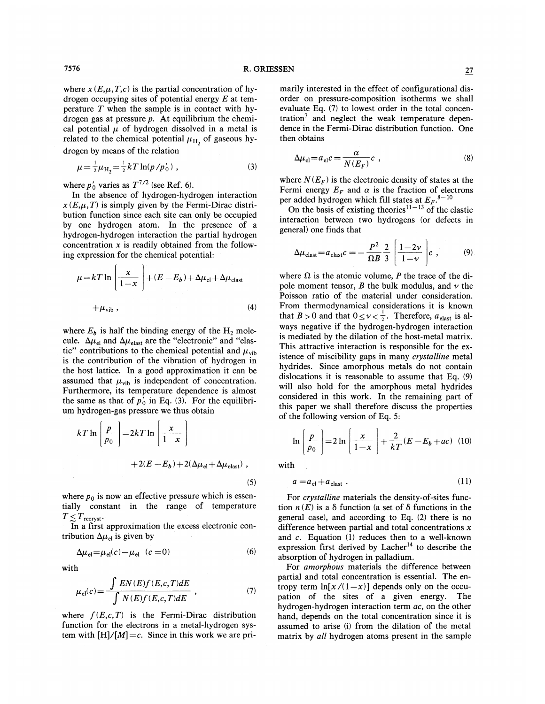where  $x(E,\mu,T,c)$  is the partial concentration of hydrogen occupying sites of potential energy  $E$  at temperature  $T$  when the sample is in contact with hydrogen gas at pressure  $p$ . At equilibrium the chemical potential  $\mu$  of hydrogen dissolved in a metal is related to the chemical potential  $\mu_{\rm H_2}$  of gaseous hydrogen by means of the relation

$$
\mu = \frac{1}{2}\mu_{\rm H_2} = \frac{1}{2}kT\ln(p/p_0'),\tag{3}
$$

where  $p'_0$  varies as  $T^{7/2}$  (see Ref. 6).

In the absence of hydrogen-hydrogen interaction  $x(E,\mu,T)$  is simply given by the Fermi-Dirac distribution function since each site can only be occupied by one hydrogen atom. In the presence of a hydrogen-hydrogen interaction the partial hydrogen concentration  $x$  is readily obtained from the following expression for the chemical potential:

$$
\mu = kT \ln \left[ \frac{x}{1-x} \right] + (E - E_b) + \Delta \mu_{el} + \Delta \mu_{elast}
$$
  
+  $\mu_{vib}$ , (4)

where  $E_b$  is half the binding energy of the  $H_2$  molecule.  $\Delta \mu_{el}$  and  $\Delta \mu_{elast}$  are the "electronic" and "elastic" contributions to the chemical potential and  $\mu_{\text{vib}}$ is the contribution of the vibration of hydrogen in the host lattice. In a good approximation it can be assumed that  $\mu_{\text{vib}}$  is independent of concentration. Furthermore, its temperature dependence is almost the same as that of  $p'_0$  in Eq. (3). For the equilibrium hydrogen-gas pressure we thus obtain

$$
kT \ln \left( \frac{p}{p_0} \right) = 2kT \ln \left( \frac{x}{1-x} \right)
$$
  
+2(E - E<sub>b</sub>) + 2(\Delta \mu\_{el} + \Delta \mu\_{elast}), (5)

where  $p_0$  is now an effective pressure which is essentially constant in the range of temperature  $T \leq T_{\text{recryst}}$ .

In a first approximation the excess electronic contribution  $\Delta \mu_{el}$  is given by

$$
\Delta \mu_{\rm el} = \mu_{\rm el}(c) - \mu_{\rm el} \quad (c = 0) \tag{6}
$$

with

$$
\mu_{\rm el}(c) = \frac{\int EN(E)f(E,c,T)dE}{\int N(E)f(E,c,T)dE} \quad , \tag{7}
$$

where  $f(E,c,T)$  is the Fermi-Dirac distribution function for the electrons in a metal-hydrogen system with  $[H]/[M] = c$ . Since in this work we are primarily interested in the effect of configurational disorder on pressure-composition isotherms we shall evaluate Eq. (7) to lowest order in the total concentration<sup>7</sup> and neglect the weak temperature dependence in the Fermi-Dirac distribution function. One then obtains

$$
\Delta \mu_{\rm el} = a_{\rm el} c = \frac{\alpha}{N(E_F)} c \quad , \tag{8}
$$

where  $N(E_F)$  is the electronic density of states at the Fermi energy  $E_F$  and  $\alpha$  is the fraction of electrons per added hydrogen which fill states at  $E_F$ .<sup>8-10</sup>

On the basis of existing theories<sup>11-13</sup> of the elastic interaction between two hydrogens (or defects in general) one finds that

$$
\Delta \mu_{\text{elast}} = a_{\text{elast}} c = -\frac{P^2}{\Omega B} \frac{2}{3} \left( \frac{1 - 2\nu}{1 - \nu} \right) c \tag{9}
$$

where  $\Omega$  is the atomic volume, P the trace of the dipole moment tensor, B the bulk modulus, and  $\nu$  the Poisson ratio of the material under consideration. From thermodynamical considerations it is known that  $B > 0$  and that  $0 \le v < \frac{1}{2}$ . Therefore,  $a_{\text{elast}}$  is always negative if the hydrogen-hydrogen interaction is mediated by the dilation of the host-metal matrix. This attractive interaction is responsible for the existence of miscibility gaps in many crystalline metal hydrides. Since amorphous metals do not contain dislocations it is reasonable to assume that Eq. (9) will also hold for the amorphous metal hydrides considered in this work. In the remaining part of this paper we shall therefore discuss the properties of the following version of Eq. 5:

$$
\ln\left(\frac{p}{p_0}\right) = 2\ln\left(\frac{x}{1-x}\right) + \frac{2}{kT}(E - E_b + ac) \quad (10)
$$

with

$$
a = a_{\text{el}} + a_{\text{elast}} \tag{11}
$$

For crystalline materials the density-of-sites function  $n(E)$  is a  $\delta$  function (a set of  $\delta$  functions in the general case), and according to Eq. (2) there is no difference between partial and total concentrations  $x$ and c. Equation (1) reduces then to a well-known expression first derived by Lacher<sup>14</sup> to describe the absorption of hydrogen in palladium.

For amorphous materials the difference between partial and total concentration is essential. The entropy term  $\ln[x/(1-x)]$  depends only on the occupation of the sites of a given energy. The hydrogen-hydrogen interaction term ac, on the other hand, depends on the total concentration since it is assumed to arise (i) from the dilation of the metal matrix by all hydrogen atoms present in the sample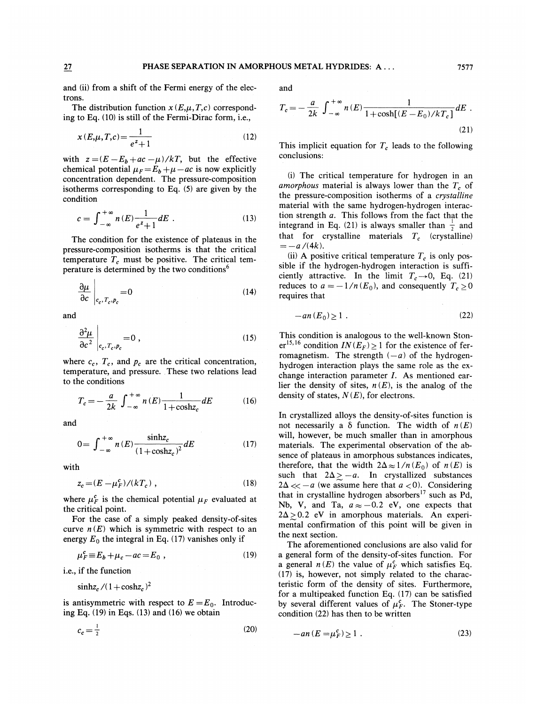and (ii) from a shift of the Fermi energy of the electrons.

The distribution function  $x(E,\mu,T,c)$  corresponding to Eq. (10) is still of the Fermi-Dirac form, i.e.,

$$
x(E, \mu, T, c) = \frac{1}{e^z + 1}
$$
 (12)

with  $z = (E - E_b + ac - \mu)/kT$ , but the effective chemical potential  $\mu_F = E_b + \mu - ac$  is now explicitly concentration dependent. The pressure-composition isotherms corresponding to Eq. (5) are given by the condition

$$
c = \int_{-\infty}^{+\infty} n(E) \frac{1}{e^z + 1} dE \tag{13}
$$

The condition for the existence of plateaus in the pressure-composition isotherms is that the critical temperature  $T_c$  must be positive. The critical temperature is determined by the two conditions<sup>6</sup>

$$
\left. \frac{\partial \mu}{\partial c} \right|_{c_c, T_c, p_c} = 0 \tag{14}
$$

and

$$
\left. \frac{\partial^2 \mu}{\partial c^2} \right|_{c_c, T_c, p_c} = 0 , \qquad (15)
$$

where  $c_c$ ,  $T_c$ , and  $p_c$  are the critical concentration, temperature, and pressure. These two relations lead to the conditions

$$
T_c = -\frac{a}{2k} \int_{-\infty}^{+\infty} n(E) \frac{1}{1 + \cosh z_c} dE \tag{16}
$$

and

$$
0 = \int_{-\infty}^{+\infty} n(E) \frac{\sinh z_c}{\left(1 + \cosh z_c\right)^2} dE \tag{17}
$$

with

$$
z_c = (E - \mu_F^c) / (kT_c) \tag{18}
$$

where  $\mu_F^c$  is the chemical potential  $\mu_F$  evaluated at the critical point.

For the case of a simply peaked density-of-sites curve  $n(E)$  which is symmetric with respect to an energy  $E_0$  the integral in Eq. (17) vanishes only if

$$
\mu_F^c \equiv E_b + \mu_c - ac = E_0 \tag{19}
$$

i.e., if the function

 $\sinh z_c/(1+\cosh z_c)^2$ 

is antisymmetric with respect to  $E = E_0$ . Introducing Eq.  $(19)$  in Eqs.  $(13)$  and  $(16)$  we obtain

$$
c_c = \frac{1}{2} \tag{20}
$$

and

$$
T_c = -\frac{a}{2k} \int_{-\infty}^{+\infty} n(E) \frac{1}{1 + \cosh[(E - E_0)/kT_c]} dE
$$
 (21)

This implicit equation for  $T_c$  leads to the following conclusions:

(i) The critical temperature for hydrogen in an amorphous material is always lower than the  $T_c$  of the pressure-composition isotherms of a crystalline material with the same hydrogen-hydrogen interaction strength a. This follows from the fact that the integrand in Eq. (21) is always smaller than  $\frac{1}{2}$  and that for crystalline materials  $T_c$  (crystalline)  $=-a/(4k).$ 

(ii) A positive critical temperature  $T_c$  is only possible if the hydrogen-hydrogen interaction is sufficiently attractive. In the limit  $T_c \rightarrow 0$ , Eq. (21) reduces to  $a = -1/n(E_0)$ , and consequently  $T_c \ge 0$ requires that

$$
-an(E_0) \ge 1 \tag{22}
$$

This condition is analogous to the well-known Stoner<sup>15,16</sup> condition  $IN(E_F) \ge 1$  for the existence of ferromagnetism. The strength  $(-a)$  of the hydrogenhydrogen interaction plays the same role as the exchange interaction parameter I. As mentioned earlier the density of sites,  $n(E)$ , is the analog of the density of states,  $N(E)$ , for electrons.

In crystallized alloys the density-of-sites function is not necessarily a  $\delta$  function. The width of  $n(E)$ will, however, be much smaller than in amorphous materials. The experimental observation of the absence of plateaus in amorphous substances indicates, therefore, that the width  $2\Delta \approx 1/n(E_0)$  of  $n(E)$  is such that  $2\Delta > -a$ . In crystallized substances  $2\Delta \ll -a$  (we assume here that  $a < 0$ ). Considering that in crystalline hydrogen absorbers<sup>17</sup> such as Pd, Nb, V, and Ta,  $a \approx -0.2$  eV, one expects that  $2\Delta > 0.2$  eV in amorphous materials. An experimental confirmation of this point will be given in the next section.

The aforementioned conclusions are also valid for a general form of the density-of-sites function. For a general  $n(E)$  the value of  $\mu_F^c$  which satisfies Eq. (17) is, however, not simply related to the characteristic form of the density of sites. Furthermore, for a multipeaked function Eq. (17) can be satisfied by several different values of  $\mu_F^c$ . The Stoner-type condition (22) has then to be written

$$
-an(E = \mu_F^c) \ge 1 \tag{23}
$$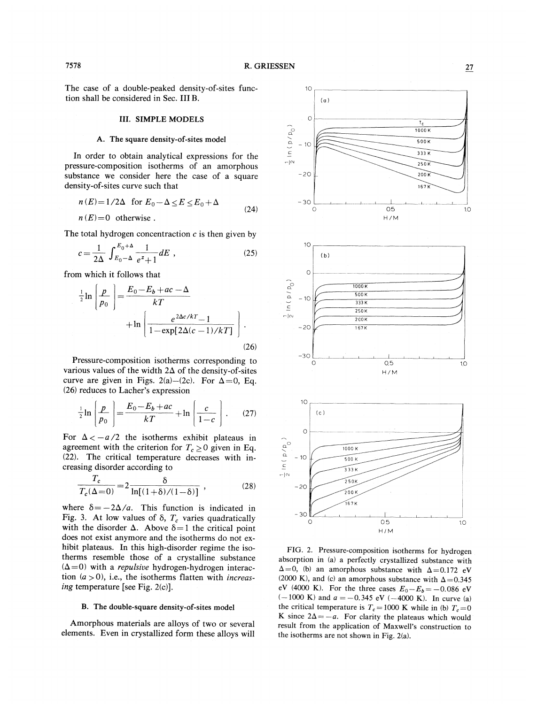The case of a double-peaked density-of-sites function shall be considered in Sec. III B.

#### **III. SIMPLE MODELS**

## A. The square density-of-sites model

In order to obtain analytical expressions for the pressure-composition isotherms of an amorphous substance we consider here the case of a square density-of-sites curve such that

$$
n(E) = 1/2\Delta \text{ for } E_0 - \Delta \le E \le E_0 + \Delta
$$
  
\n
$$
n(E) = 0 \text{ otherwise.}
$$
 (24)

The total hydrogen concentraction  $c$  is then given by

$$
c = \frac{1}{2\Delta} \int_{E_0 - \Delta}^{E_0 + \Delta} \frac{1}{e^z + 1} dE , \qquad (25)
$$

from which it follows that

$$
\frac{1}{2}\ln\left(\frac{p}{p_0}\right) = \frac{E_0 - E_b + ac - \Delta}{kT}
$$

$$
+ \ln\left(\frac{e^{2\Delta c/kT} - 1}{1 - \exp[2\Delta(c - 1)/kT]}\right).
$$
\n(26)

Pressure-composition isotherms corresponding to various values of the width  $2\Delta$  of the density-of-sites curve are given in Figs. 2(a)-(2c). For  $\Delta = 0$ , Eq. (26) reduces to Lacher's expression

$$
\frac{1}{2}\ln\left(\frac{p}{p_0}\right) = \frac{E_0 - E_b + ac}{kT} + \ln\left(\frac{c}{1 - c}\right). \tag{27}
$$

For  $\Delta < -a/2$  the isotherms exhibit plateaus in agreement with the criterion for  $T_c \ge 0$  given in Eq. (22). The critical temperature decreases with increasing disorder according to

$$
\frac{T_c}{T_c(\Delta=0)} = 2 \frac{\delta}{\ln[(1+\delta)/(1-\delta)]}, \qquad (28)
$$

where  $\delta = -2\Delta/a$ . This function is indicated in Fig. 3. At low values of  $\delta$ ,  $T_c$  varies quadratically with the disorder  $\Delta$ . Above  $\delta = 1$  the critical point does not exist anymore and the isotherms do not exhibit plateaus. In this high-disorder regime the isotherms resemble those of a crystalline substance  $(\Delta=0)$  with a *repulsive* hydrogen-hydrogen interaction  $(a > 0)$ , i.e., the isotherms flatten with *increas*ing temperature [see Fig. 2(c)].

## B. The double-square density-of-sites model

Amorphous materials are alloys of two or several elements. Even in crystallized form these alloys will



FIG. 2. Pressure-composition isotherms for hydrogen absorption in (a) a perfectly crystallized substance with  $\Delta = 0$ , (b) an amorphous substance with  $\Delta = 0.172$  eV (2000 K), and (c) an amorphous substance with  $\Delta = 0.345$ eV (4000 K). For the three cases  $E_0 - E_b = -0.086$  eV  $(-1000 \text{ K})$  and  $a = -0.345 \text{ eV}$  (-4000 K). In curve (a) the critical temperature is  $T_c = 1000$  K while in (b)  $T_c = 0$ K since  $2\Delta = -a$ . For clarity the plateaus which would result from the application of Maxwell's construction to the isotherms are not shown in Fig.  $2(a)$ .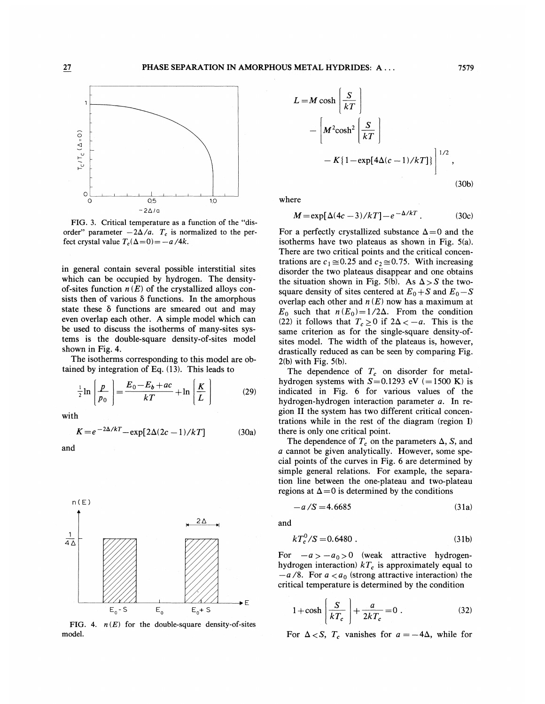

FIG. 3. Critical temperature as a function of the "disorder" parameter  $-2\Delta/a$ .  $T_c$  is normalized to the perfect crystal value  $T_c(\Delta=0) = -a/4k$ .

in general contain several possible interstitial sites which can be occupied by hydrogen. The densityof-sites function  $n(E)$  of the crystallized alloys consists then of various  $\delta$  functions. In the amorphous state these  $\delta$  functions are smeared out and may even overlap each other. A simple model which can be used to discuss the isotherms of many-sites systems is the double-square density-of-sites model shown in Fig. 4.

The isotherms corresponding to this model are obtained by integration of Eq. (13). This leads to

$$
\frac{1}{2}\ln\left(\frac{p}{p_0}\right) = \frac{E_0 - E_b + ac}{kT} + \ln\left(\frac{K}{L}\right)
$$
 (29)

with

$$
K = e^{-2\Delta/kT} - \exp[2\Delta(2c-1)/kT]
$$
 (30a)

and



FIG. 4.  $n(E)$  for the double-square density-of-sites model.

$$
L = M \cosh\left(\frac{S}{kT}\right)
$$
  

$$
- \left[M^2 \cosh^2\left(\frac{S}{kT}\right) - K\left\{1 - \exp[4\Delta(c-1)/kT]\right\}\right]^{1/2},
$$
 (30b)

where

$$
M = \exp[\Delta(4c-3)/kT] - e^{-\Delta/kT}.
$$
 (30c)

For a perfectly crystallized substance  $\Delta = 0$  and the isotherms have two plateaus as shown in Fig. 5(a). There are two critical points and the critical concentrations are  $c_1 \approx 0.25$  and  $c_2 \approx 0.75$ . With increasing disorder the two plateaus disappear and one obtains the situation shown in Fig. 5(b). As  $\Delta > S$  the twosquare density of sites centered at  $E_0 + S$  and  $E_0 - S$ overlap each other and  $n(E)$  now has a maximum at  $E_0$  such that  $n(E_0) = 1/2\Delta$ . From the condition (22) it follows that  $T_c \ge 0$  if  $2\Delta < -a$ . This is the same criterion as for the single-square density-ofsites model. The width of the plateaus is, however, drastically reduced as can be seen by comparing Fig.  $2(b)$  with Fig.  $5(b)$ .

The dependence of  $T_c$  on disorder for metalhydrogen systems with  $S=0.1293$  eV (=1500 K) is indicated in Fig. 6 for various values of the hydrogen-hydrogen interaction parameter a. In region II the system has two different critical concentrations while in the rest of the diagram (region I) there is only one critical point.

The dependence of  $T_c$  on the parameters  $\Delta$ , S, and a cannot be given analytically. However, some special points of the curves in Fig. 6 are determined by simple general relations. For example, the separation line between the one-plateau and two-plateau regions at  $\Delta = 0$  is determined by the conditions

$$
-a/S = 4.6685 \tag{31a}
$$

and

$$
kT_c^0/S = 0.6480 \tag{31b}
$$

For  $-a > -a_0 > 0$  (weak attractive hydrogenhydrogen interaction)  $kT_c$  is approximately equal to  $-a/8$ . For  $a < a<sub>0</sub>$  (strong attractive interaction) the critical temperature is determined by the condition

$$
1 + \cosh\left(\frac{S}{kT_c}\right) + \frac{a}{2kT_c} = 0.
$$
 (32)

For  $\Delta < S$ ,  $T_c$  vanishes for  $a = -4\Delta$ , while for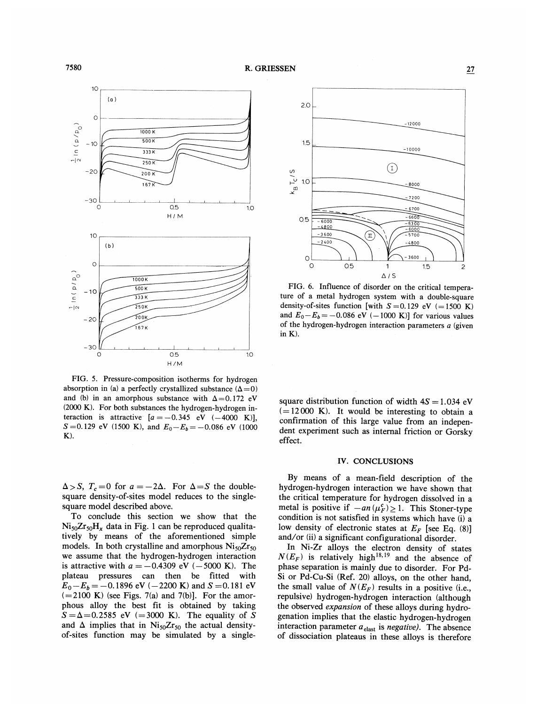

FIG. 5. Pressure-composition isotherms for hydrogen absorption in (a) a perfectly crystallized substance  $(\Delta = 0)$ and (b) in an amorphous substance with  $\Delta = 0.172$  eV  $(2000 \text{ K})$ . For both substances the hydrogen-hydrogen interaction is attractive  $[a = -0.345 \text{ eV} (-4000 \text{ K})]$ ,  $S = 0.129$  eV (1500 K), and  $E_0 - E_b = -0.086$  eV (1000  $K$ ).

 $\Delta > S$ ,  $T_c = 0$  for  $a = -2\Delta$ . For  $\Delta = S$  the doublesquare density-of-sites model reduces to the singlesquare model described above.

To conclude this section we show that the  $Ni_{50}Zr_{50}H_x$  data in Fig. 1 can be reproduced qualitatively by means of the aforementioned simple models. In both crystalline and amorphous  $Ni_{50}Zr_{50}$ we assume that the hydrogen-hydrogen interaction is attractive with  $a = -0.4309$  eV (-5000 K). The plateau pressures can then be fitted with  $E_0 - E_b = -0.1896$  eV (-2200 K) and S = 0.181 eV  $(=2100 \text{ K})$  (see Figs. 7(a) and 7(b)]. For the amorphous alloy the best fit is obtained by taking  $S = \Delta = 0.2585$  eV (=3000 K). The equality of S and  $\Delta$  implies that in Ni<sub>50</sub>Zr<sub>50</sub> the actual densityof-sites function may be simulated by a single-



FIG. 6. Influence of disorder on the critical temperature of a metal hydrogen system with a double-square density-of-sites function [with  $S = 0.129$  eV (= 1500 K) and  $E_0 - E_b = -0.086$  eV (-1000 K)] for various values of the hydrogen-hydrogen interaction parameters  $a$  (given in K).

square distribution function of width  $4S = 1.034$  eV  $(=12000 \text{ K})$ . It would be interesting to obtain a confirmation of this large value from an independent experiment such as internal friction or Gorsky effect.

#### IV. CONCLUSIONS

By means of a mean-field description of the hydrogen-hydrogen interaction we have shown that the critical temperature for hydrogen dissolved in a metal is positive if  $-an(\mu_F^c) \ge 1$ . This Stoner-type condition is not satisfied in systems which have (i) a low density of electronic states at  $E_F$  [see Eq. (8)] and/or (ii) a significant configurational disorder.

In Ni-Zr alloys the electron density of states  $N(E_F)$  is relatively high<sup>18,19</sup> and the absence of phase separation is mainly due to disorder. For Pd-Si or Pd-Cu-Si (Ref. 20) alloys, on the other hand, the small value of  $N(E_F)$  results in a positive (i.e., repulsive) hydrogen-hydrogen interaction (although the observed expansion of these alloys during hydrogenation implies that the elastic hydrogen-hydrogen interaction parameter  $a_{\text{elast}}$  is *negative*). The absence of dissociation plateaus in these alloys is therefore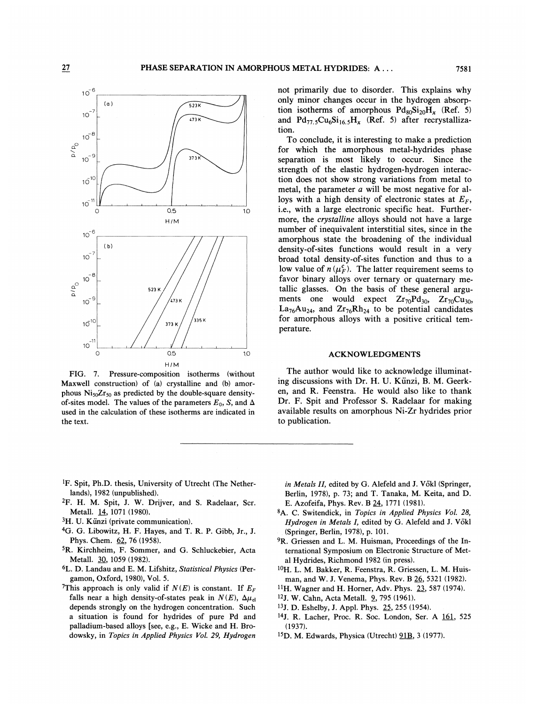

FIG. 7. Pressure-composition isotherms (without Maxwell construction) of (a) crystalline and (b) amorphous  $Ni_{50}Zr_{50}$  as predicted by the double-square densityof-sites model. The values of the parameters  $E_0$ , S, and  $\Delta$ used in the calculation of these isotherms are indicated in the text.

not primarily due to disorder. This explains why only minor changes occur in the hydrogen absorption isotherms of amorphous  $Pd_{80}Si_{20}H_r$  (Ref. 5) and  $Pd_{77}$ ,  $Cu_6Si_{16}$ ,  $H_r$  (Ref. 5) after recrystallization.

To conclude, it is interesting to make a prediction for which the amorphous metal-hydrides phase separation is most likely to occur. Since the strength of the elastic hydrogen-hydrogen interaction does not show strong variations from metal to metal, the parameter a will be most negative for alloys with a high density of electronic states at  $E_F$ , i.e., with a large electronic specific heat. Furthermore, the crystalline alloys should not have a large number of inequivalent interstitial sites, since in the amorphous state the broadening of the individual density-of-sites functions would result in a very broad total density-of-sites function and thus to a low value of  $n(\mu_F^c)$ . The latter requirement seems to favor binary alloys over ternary or quaternary metallic glasses. On the basis of these general arguments one would expect  $Zr_{70}Pd_{30}$ ,  $Zr_{70}Cu_{30}$ ,  $La_{76}Au_{24}$ , and  $Zr_{76}Rh_{24}$  to be potential candidates for amorphous alloys with a positive critical temperature.

#### **ACKNOWLEDGMENTS**

The author would like to acknowledge illuminating discussions with Dr. H. U. Künzi, B. M. Geerken, and R. Feenstra. He would also like to thank Dr. F. Spit and Professor S. Radelaar for making available results on amorphous Ni-Zr hydrides prior to publication.

- <sup>1</sup>F. Spit, Ph.D. thesis, University of Utrecht (The Netherlands), 1982 (unpublished).
- <sup>2</sup>F. H. M. Spit, J. W. Drijver, and S. Radelaar, Scr. Metall. 14, 1071 (1980).
- $3H$ . U. Künzi (private communication).
- <sup>4</sup>G. G. Libowitz, H. F. Hayes, and T. R. P. Gibb, Jr., J. Phys. Chem. 62, 76 (1958).
- <sup>5</sup>R. Kirchheim, F. Sommer, and G. Schluckebier, Acta Metall. 30, 1059 (1982).
- <sup>6</sup>L. D. Landau and E. M. Lifshitz, Statistical Physics (Pergamon, Oxford, 1980), Vol. 5.
- <sup>7</sup>This approach is only valid if  $N(E)$  is constant. If  $E_F$ falls near a high density-of-states peak in  $N(E)$ ,  $\Delta \mu_{el}$ depends strongly on the hydrogen concentration. Such a situation is found for hydrides of pure Pd and palladium-based alloys [see, e.g., E. Wicke and H. Brodowsky, in Topics in Applied Physics Vol. 29, Hydrogen

in Metals II, edited by G. Alefeld and J. Vökl (Springer, Berlin, 1978), p. 73; and T. Tanaka, M. Keita, and D. E. Azofeifa, Phys. Rev. B 24, 1771 (1981).

- 8A. C. Switendick, in Topics in Applied Physics Vol. 28, Hydrogen in Metals I, edited by G. Alefeld and J. Vökl (Springer, Berlin, 1978), p. 101.
- <sup>9</sup>R. Griessen and L. M. Huisman, Proceedings of the International Symposium on Electronic Structure of Metal Hydrides, Richmond 1982 (in press).
- <sup>10</sup>H. L. M. Bakker, R. Feenstra, R. Griessen, L. M. Huisman, and W. J. Venema, Phys. Rev. B 26, 5321 (1982).
- <sup>11</sup>H. Wagner and H. Horner, Adv. Phys. 23, 587 (1974).
- <sup>12</sup>J. W. Cahn, Acta Metall. **2**, 795 (1961).
- <sup>13</sup>J. D. Eshelby, J. Appl. Phys. 25, 255 (1954).

<sup>15</sup>D. M. Edwards, Physica (Utrecht) 91B, 3 (1977).

<sup>14</sup>J. R. Lacher, Proc. R. Soc. London, Ser. A 161, 525  $(1937).$